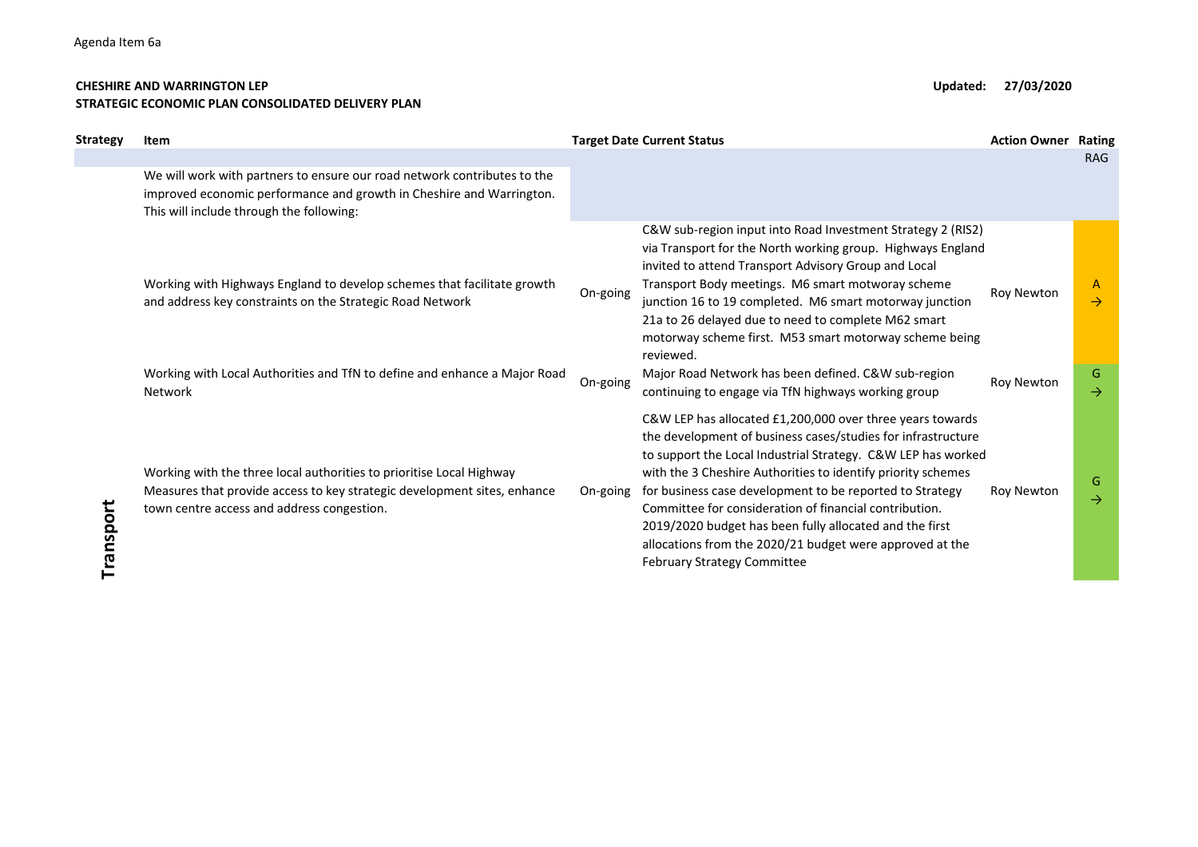## CHESHIRE AND WARRINGTON LEP Updated: 27/03/2020 STRATEGIC ECONOMIC PLAN CONSOLIDATED DELIVERY PLAN

| Strategy  | Item                                                                                                                                                                                                                         |                      | <b>Target Date Current Status</b>                                                                                                                                                                                                                                                                                                                                                                                                                                                                                                              | <b>Action Owner</b>      | Rating                                              |
|-----------|------------------------------------------------------------------------------------------------------------------------------------------------------------------------------------------------------------------------------|----------------------|------------------------------------------------------------------------------------------------------------------------------------------------------------------------------------------------------------------------------------------------------------------------------------------------------------------------------------------------------------------------------------------------------------------------------------------------------------------------------------------------------------------------------------------------|--------------------------|-----------------------------------------------------|
|           | We will work with partners to ensure our road network contributes to the<br>improved economic performance and growth in Cheshire and Warrington.<br>This will include through the following:                                 |                      |                                                                                                                                                                                                                                                                                                                                                                                                                                                                                                                                                |                          | <b>RAG</b>                                          |
|           | Working with Highways England to develop schemes that facilitate growth<br>and address key constraints on the Strategic Road Network<br>Working with Local Authorities and TfN to define and enhance a Major Road<br>Network | On-going<br>On-going | C&W sub-region input into Road Investment Strategy 2 (RIS2)<br>via Transport for the North working group. Highways England<br>invited to attend Transport Advisory Group and Local<br>Transport Body meetings. M6 smart motworay scheme<br>junction 16 to 19 completed. M6 smart motorway junction<br>21a to 26 delayed due to need to complete M62 smart<br>motorway scheme first. M53 smart motorway scheme being<br>reviewed.<br>Major Road Network has been defined. C&W sub-region<br>continuing to engage via TfN highways working group | Roy Newton<br>Roy Newton | $\mathsf{A}$<br>$\rightarrow$<br>G<br>$\rightarrow$ |
| Transport | Working with the three local authorities to prioritise Local Highway<br>Measures that provide access to key strategic development sites, enhance<br>town centre access and address congestion.                               | On-going             | C&W LEP has allocated £1,200,000 over three years towards<br>the development of business cases/studies for infrastructure<br>to support the Local Industrial Strategy. C&W LEP has worked<br>with the 3 Cheshire Authorities to identify priority schemes<br>for business case development to be reported to Strategy<br>Committee for consideration of financial contribution.<br>2019/2020 budget has been fully allocated and the first<br>allocations from the 2020/21 budget were approved at the<br>February Strategy Committee          | Roy Newton               | G<br>$\rightarrow$                                  |
|           |                                                                                                                                                                                                                              |                      |                                                                                                                                                                                                                                                                                                                                                                                                                                                                                                                                                |                          |                                                     |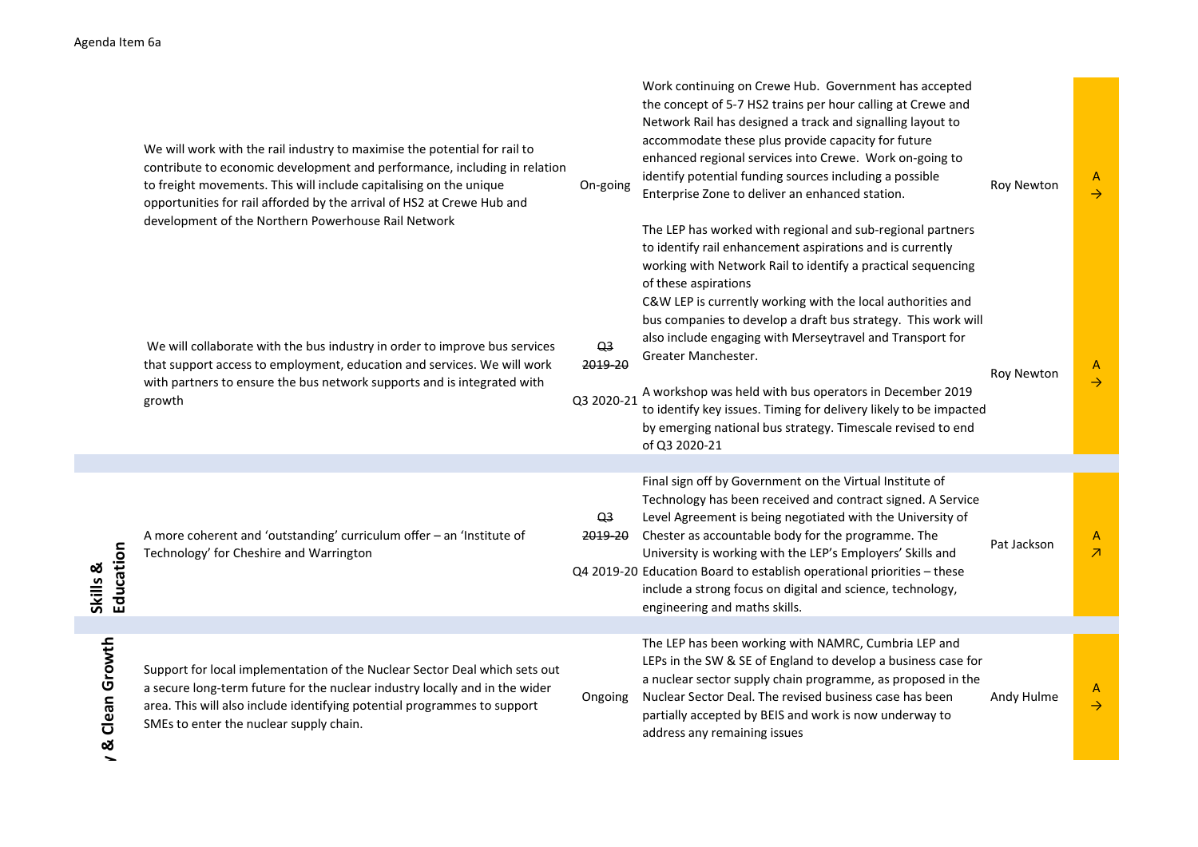| enda Item 6a          |                                                                                                                                                                                                                                                                                                                                                               |                                         |                                                                                                                                                                                                                                                                                                                                                                                                                                                                                                                                                                                                                                      |                   |                               |
|-----------------------|---------------------------------------------------------------------------------------------------------------------------------------------------------------------------------------------------------------------------------------------------------------------------------------------------------------------------------------------------------------|-----------------------------------------|--------------------------------------------------------------------------------------------------------------------------------------------------------------------------------------------------------------------------------------------------------------------------------------------------------------------------------------------------------------------------------------------------------------------------------------------------------------------------------------------------------------------------------------------------------------------------------------------------------------------------------------|-------------------|-------------------------------|
|                       | We will work with the rail industry to maximise the potential for rail to<br>contribute to economic development and performance, including in relation<br>to freight movements. This will include capitalising on the unique<br>opportunities for rail afforded by the arrival of HS2 at Crewe Hub and<br>development of the Northern Powerhouse Rail Network | On-going                                | Work continuing on Crewe Hub. Government has accepted<br>the concept of 5-7 HS2 trains per hour calling at Crewe and<br>Network Rail has designed a track and signalling layout to<br>accommodate these plus provide capacity for future<br>enhanced regional services into Crewe. Work on-going to<br>identify potential funding sources including a possible<br>Enterprise Zone to deliver an enhanced station.<br>The LEP has worked with regional and sub-regional partners<br>to identify rail enhancement aspirations and is currently<br>working with Network Rail to identify a practical sequencing<br>of these aspirations | <b>Roy Newton</b> | A<br>$\rightarrow$            |
|                       | We will collaborate with the bus industry in order to improve bus services<br>that support access to employment, education and services. We will work<br>with partners to ensure the bus network supports and is integrated with<br>growth                                                                                                                    | Q <sub>3</sub><br>2019-20<br>Q3 2020-21 | C&W LEP is currently working with the local authorities and<br>bus companies to develop a draft bus strategy. This work will<br>also include engaging with Merseytravel and Transport for<br>Greater Manchester.<br>A workshop was held with bus operators in December 2019<br>to identify key issues. Timing for delivery likely to be impacted<br>by emerging national bus strategy. Timescale revised to end<br>of Q3 2020-21                                                                                                                                                                                                     | <b>Roy Newton</b> | $\mathsf{A}$<br>$\rightarrow$ |
| Education<br>Skills & | A more coherent and 'outstanding' curriculum offer - an 'Institute of<br>Technology' for Cheshire and Warrington                                                                                                                                                                                                                                              | Q3<br>2019-20                           | Final sign off by Government on the Virtual Institute of<br>Technology has been received and contract signed. A Service<br>Level Agreement is being negotiated with the University of<br>Chester as accountable body for the programme. The<br>University is working with the LEP's Employers' Skills and<br>Q4 2019-20 Education Board to establish operational priorities - these<br>include a strong focus on digital and science, technology,<br>engineering and maths skills.                                                                                                                                                   | Pat Jackson       | A<br>$\overline{\mathcal{A}}$ |
| Clean Growth<br>œ     | Support for local implementation of the Nuclear Sector Deal which sets out<br>a secure long-term future for the nuclear industry locally and in the wider<br>area. This will also include identifying potential programmes to support<br>SMEs to enter the nuclear supply chain.                                                                              | Ongoing                                 | The LEP has been working with NAMRC, Cumbria LEP and<br>LEPs in the SW & SE of England to develop a business case for<br>a nuclear sector supply chain programme, as proposed in the<br>Nuclear Sector Deal. The revised business case has been<br>partially accepted by BEIS and work is now underway to<br>address any remaining issues                                                                                                                                                                                                                                                                                            | Andy Hulme        | $\mathsf{A}$<br>$\rightarrow$ |
|                       |                                                                                                                                                                                                                                                                                                                                                               |                                         |                                                                                                                                                                                                                                                                                                                                                                                                                                                                                                                                                                                                                                      |                   |                               |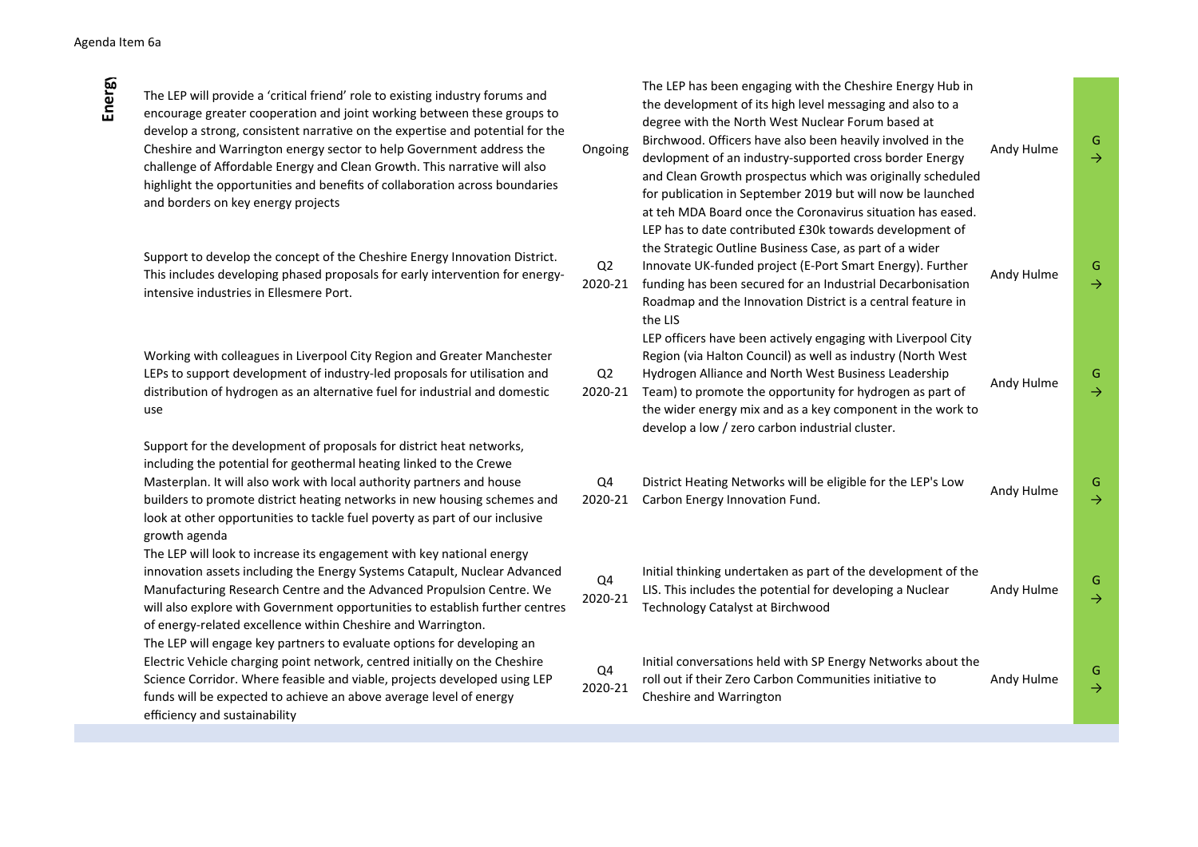The LEP will engage key partners to evaluate options for developing an Electric Vehicle charging point network, centred initially on the Cheshire Science Corridor. Where feasible and viable, projects developed using LEP funds will be expected to achieve an above average level of energy efficiency and sustainability

| da Item 6a    |                                                                                                                                                                                                                                                                                                                                                                                                                                                                                                                     |                           |                                                                                                                                                                                                                                                                                                                                                                                                                                                                                                                                                           |            |                    |
|---------------|---------------------------------------------------------------------------------------------------------------------------------------------------------------------------------------------------------------------------------------------------------------------------------------------------------------------------------------------------------------------------------------------------------------------------------------------------------------------------------------------------------------------|---------------------------|-----------------------------------------------------------------------------------------------------------------------------------------------------------------------------------------------------------------------------------------------------------------------------------------------------------------------------------------------------------------------------------------------------------------------------------------------------------------------------------------------------------------------------------------------------------|------------|--------------------|
| <b>Energy</b> | The LEP will provide a 'critical friend' role to existing industry forums and<br>encourage greater cooperation and joint working between these groups to<br>develop a strong, consistent narrative on the expertise and potential for the<br>Cheshire and Warrington energy sector to help Government address the<br>challenge of Affordable Energy and Clean Growth. This narrative will also<br>highlight the opportunities and benefits of collaboration across boundaries<br>and borders on key energy projects | Ongoing                   | The LEP has been engaging with the Cheshire Energy Hub in<br>the development of its high level messaging and also to a<br>degree with the North West Nuclear Forum based at<br>Birchwood. Officers have also been heavily involved in the<br>devlopment of an industry-supported cross border Energy<br>and Clean Growth prospectus which was originally scheduled<br>for publication in September 2019 but will now be launched<br>at teh MDA Board once the Coronavirus situation has eased.<br>LEP has to date contributed £30k towards development of | Andy Hulme | G<br>$\rightarrow$ |
|               | Support to develop the concept of the Cheshire Energy Innovation District.<br>This includes developing phased proposals for early intervention for energy-<br>intensive industries in Ellesmere Port.                                                                                                                                                                                                                                                                                                               | Q <sub>2</sub><br>2020-21 | the Strategic Outline Business Case, as part of a wider<br>Innovate UK-funded project (E-Port Smart Energy). Further<br>funding has been secured for an Industrial Decarbonisation<br>Roadmap and the Innovation District is a central feature in<br>the LIS                                                                                                                                                                                                                                                                                              | Andy Hulme | G<br>→             |
|               | Working with colleagues in Liverpool City Region and Greater Manchester<br>LEPs to support development of industry-led proposals for utilisation and<br>distribution of hydrogen as an alternative fuel for industrial and domestic<br>use                                                                                                                                                                                                                                                                          | Q <sub>2</sub><br>2020-21 | LEP officers have been actively engaging with Liverpool City<br>Region (via Halton Council) as well as industry (North West<br>Hydrogen Alliance and North West Business Leadership<br>Team) to promote the opportunity for hydrogen as part of<br>the wider energy mix and as a key component in the work to<br>develop a low / zero carbon industrial cluster.                                                                                                                                                                                          | Andy Hulme | G<br>$\rightarrow$ |
|               | Support for the development of proposals for district heat networks,<br>including the potential for geothermal heating linked to the Crewe<br>Masterplan. It will also work with local authority partners and house<br>builders to promote district heating networks in new housing schemes and<br>look at other opportunities to tackle fuel poverty as part of our inclusive<br>growth agenda                                                                                                                     | Q4<br>2020-21             | District Heating Networks will be eligible for the LEP's Low<br>Carbon Energy Innovation Fund.                                                                                                                                                                                                                                                                                                                                                                                                                                                            | Andy Hulme | G<br>$\rightarrow$ |
|               | The LEP will look to increase its engagement with key national energy<br>innovation assets including the Energy Systems Catapult, Nuclear Advanced<br>Manufacturing Research Centre and the Advanced Propulsion Centre. We<br>will also explore with Government opportunities to establish further centres<br>of energy-related excellence within Cheshire and Warrington.                                                                                                                                          | Q4<br>2020-21             | Initial thinking undertaken as part of the development of the<br>LIS. This includes the potential for developing a Nuclear<br>Technology Catalyst at Birchwood                                                                                                                                                                                                                                                                                                                                                                                            | Andy Hulme | G<br>→             |
|               | The LEP will engage key partners to evaluate options for developing an<br>Electric Vehicle charging point network, centred initially on the Cheshire<br>Science Corridor. Where feasible and viable, projects developed using LEP<br>funds will be expected to achieve an above average level of energy<br>المتنازلها والمرافد والمستردون الواقد والموارد                                                                                                                                                           | Q4<br>2020-21             | Initial conversations held with SP Energy Networks about the<br>roll out if their Zero Carbon Communities initiative to<br>Cheshire and Warrington                                                                                                                                                                                                                                                                                                                                                                                                        | Andy Hulme | G<br>$\rightarrow$ |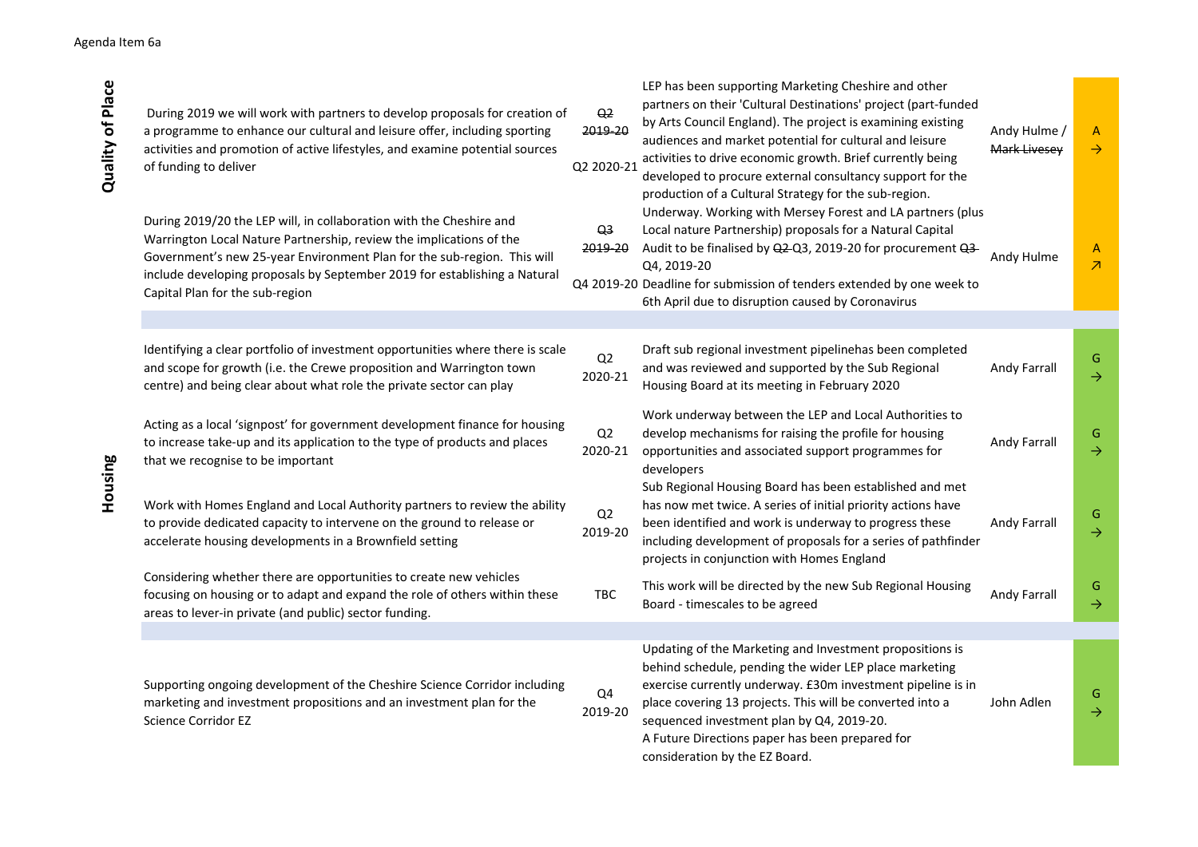| <b>Quality of Place</b> | During 2019 we will work with partners to develop proposals for creation of<br>a programme to enhance our cultural and leisure offer, including sporting<br>activities and promotion of active lifestyles, and examine potential sources<br>of funding to deliver                                                                     | Q <sub>2</sub><br>2019-20<br>Q2 2020-21 | LEP has been supporting Marketing Cheshire and other<br>partners on their 'Cultural Destinations' project (part-funded<br>by Arts Council England). The project is examining existing<br>audiences and market potential for cultural and leisure<br>activities to drive economic growth. Brief currently being<br>developed to procure external consultancy support for the<br>production of a Cultural Strategy for the sub-region. | Andy Hulme /<br>Mark Livesey | A<br>$\rightarrow$            |
|-------------------------|---------------------------------------------------------------------------------------------------------------------------------------------------------------------------------------------------------------------------------------------------------------------------------------------------------------------------------------|-----------------------------------------|--------------------------------------------------------------------------------------------------------------------------------------------------------------------------------------------------------------------------------------------------------------------------------------------------------------------------------------------------------------------------------------------------------------------------------------|------------------------------|-------------------------------|
|                         | During 2019/20 the LEP will, in collaboration with the Cheshire and<br>Warrington Local Nature Partnership, review the implications of the<br>Government's new 25-year Environment Plan for the sub-region. This will<br>include developing proposals by September 2019 for establishing a Natural<br>Capital Plan for the sub-region | Q <sub>3</sub><br>2019-20               | Underway. Working with Mersey Forest and LA partners (plus<br>Local nature Partnership) proposals for a Natural Capital<br>Audit to be finalised by Q2-Q3, 2019-20 for procurement Q3-<br>Q4, 2019-20<br>Q4 2019-20 Deadline for submission of tenders extended by one week to<br>6th April due to disruption caused by Coronavirus                                                                                                  | Andy Hulme                   | A<br>$\overline{\mathcal{A}}$ |
|                         |                                                                                                                                                                                                                                                                                                                                       |                                         |                                                                                                                                                                                                                                                                                                                                                                                                                                      |                              |                               |
| Housing                 | Identifying a clear portfolio of investment opportunities where there is scale<br>and scope for growth (i.e. the Crewe proposition and Warrington town<br>centre) and being clear about what role the private sector can play                                                                                                         | Q <sub>2</sub><br>2020-21               | Draft sub regional investment pipelinehas been completed<br>and was reviewed and supported by the Sub Regional<br>Housing Board at its meeting in February 2020                                                                                                                                                                                                                                                                      | Andy Farrall                 | G<br>$\rightarrow$            |
|                         | Acting as a local 'signpost' for government development finance for housing<br>to increase take-up and its application to the type of products and places<br>that we recognise to be important                                                                                                                                        | Q2<br>2020-21                           | Work underway between the LEP and Local Authorities to<br>develop mechanisms for raising the profile for housing<br>opportunities and associated support programmes for<br>developers                                                                                                                                                                                                                                                | Andy Farrall                 | G<br>$\rightarrow$            |
|                         | Work with Homes England and Local Authority partners to review the ability<br>to provide dedicated capacity to intervene on the ground to release or<br>accelerate housing developments in a Brownfield setting                                                                                                                       | Q <sub>2</sub><br>2019-20               | Sub Regional Housing Board has been established and met<br>has now met twice. A series of initial priority actions have<br>been identified and work is underway to progress these<br>including development of proposals for a series of pathfinder<br>projects in conjunction with Homes England                                                                                                                                     | Andy Farrall                 | G<br>$\rightarrow$            |
|                         | Considering whether there are opportunities to create new vehicles<br>focusing on housing or to adapt and expand the role of others within these<br>areas to lever-in private (and public) sector funding.                                                                                                                            | <b>TBC</b>                              | This work will be directed by the new Sub Regional Housing<br>Board - timescales to be agreed                                                                                                                                                                                                                                                                                                                                        | Andy Farrall                 | G<br>$\rightarrow$            |
|                         |                                                                                                                                                                                                                                                                                                                                       |                                         |                                                                                                                                                                                                                                                                                                                                                                                                                                      |                              |                               |
|                         | Supporting ongoing development of the Cheshire Science Corridor including<br>marketing and investment propositions and an investment plan for the<br><b>Science Corridor EZ</b>                                                                                                                                                       | Q4<br>2019-20                           | Updating of the Marketing and Investment propositions is<br>behind schedule, pending the wider LEP place marketing<br>exercise currently underway. £30m investment pipeline is in<br>place covering 13 projects. This will be converted into a<br>sequenced investment plan by Q4, 2019-20.<br>A Future Directions paper has been prepared for<br>consideration by the EZ Board.                                                     | John Adlen                   | G<br>$\rightarrow$            |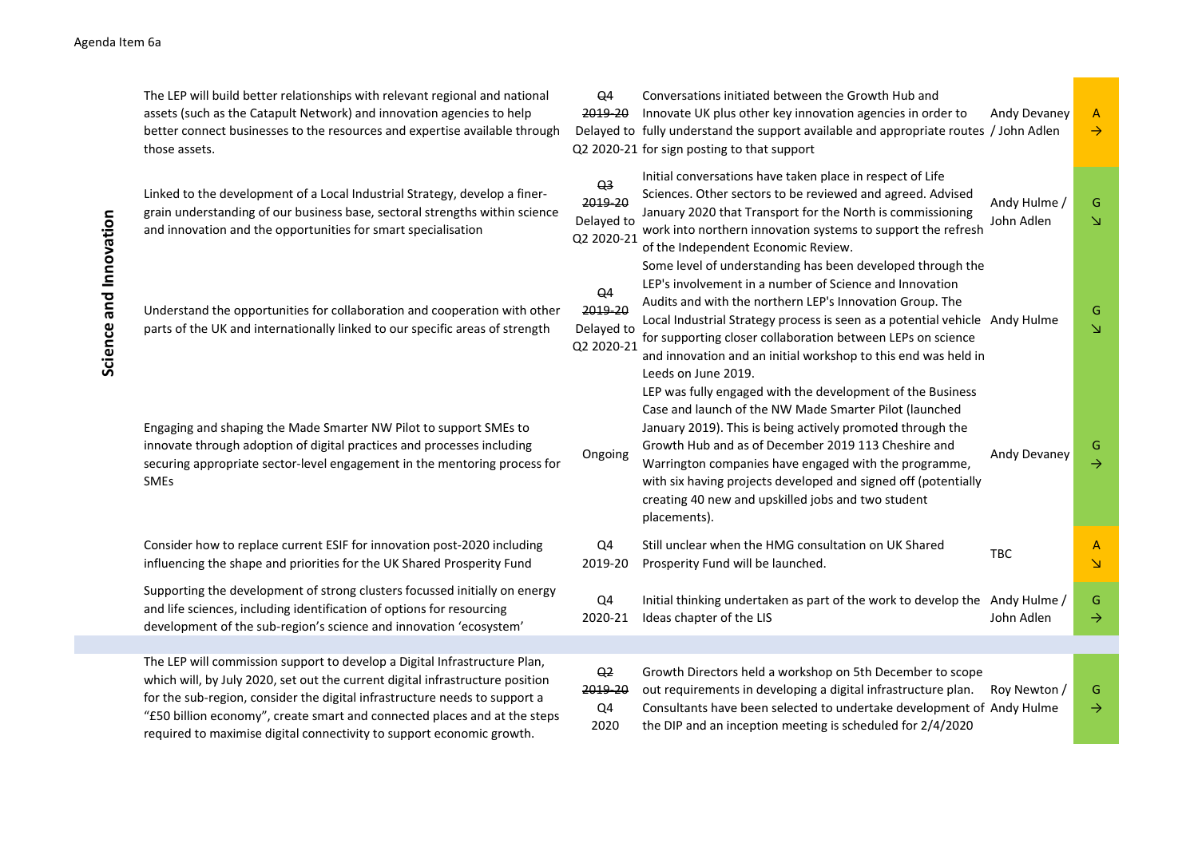The LEP will build better relationships with relevant regional and national assets (such as the Catapult Network) and innovation agencies to help better connect businesses to the resources and expertise available through those assets. Q4 2019-20 Innovate UK plus other key innovation agencies in order to Delayed to fully understand the support available and appropriate routes / John Adlen Q2 2020-21 for sign posting to that support Conversations initiated between the Growth Hub and Andy Devaney A  $\rightarrow$ Linked to the development of a Local Industrial Strategy, develop a finergrain understanding of our business base, sectoral strengths within science and innovation and the opportunities for smart specialisation  $Q<sub>3</sub>$ 2019-20 Delayed to Q2 2020-21 Initial conversations have taken place in respect of Life Sciences. Other sectors to be reviewed and agreed. Advised January 2020 that Transport for the North is commissioning work into northern innovation systems to support the refresh of the Independent Economic Review. Andy Hulme / John Adlen G ↘ Understand the opportunities for collaboration and cooperation with other parts of the UK and internationally linked to our specific areas of strength Q4 2019-20 Delayed to Q2 2020-21 Some level of understanding has been developed through the LEP's involvement in a number of Science and Innovation Audits and with the northern LEP's Innovation Group. The Local Industrial Strategy process is seen as a potential vehicle Andy Hulme for supporting closer collaboration between LEPs on science and innovation and an initial workshop to this end was held in Leeds on June 2019. ↘ Engaging and shaping the Made Smarter NW Pilot to support SMEs to innovate through adoption of digital practices and processes including securing appropriate sector-level engagement in the mentoring process for SMEs **Ongoing** LEP was fully engaged with the development of the Business Case and launch of the NW Made Smarter Pilot (launched January 2019). This is being actively promoted through the Growth Hub and as of December 2019 113 Cheshire and Warrington companies have engaged with the programme, with six having projects developed and signed off (potentially creating 40 new and upskilled jobs and two student placements). Andy Devaney <sup>G</sup>  $\rightarrow$ Consider how to replace current ESIF for innovation post-2020 including influencing the shape and priorities for the UK Shared Prosperity Fund Q4 2019-20 Still unclear when the HMG consultation on UK Shared Prosperity Fund will be launched. A ↘ Supporting the development of strong clusters focussed initially on energy and life sciences, including identification of options for resourcing development of the sub-region's science and innovation 'ecosystem'  $O<sub>4</sub>$ 2020-21 Initial thinking undertaken as part of the work to develop the Andy Hulme / Ideas chapter of the LIS John Adlen G  $\rightarrow$ The LEP will commission support to develop a Digital Infrastructure Plan,  $Q<sub>2</sub>$ Growth Directors held a workshop on 5th December to scope Eart of the the state of the state sector and the state of the state of the state of the state of the state of the state of the state of the state of the state of the state of the state of the state of the state of the s

2019-20  $O<sub>4</sub>$ 2020 out requirements in developing a digital infrastructure plan. Roy Newton / Consultants have been selected to undertake development of Andy Hulme the DIP and an inception meeting is scheduled for 2/4/2020 G

which will, by July 2020, set out the current digital infrastructure position for the sub-region, consider the digital infrastructure needs to support a "£50 billion economy", create smart and connected places and at the steps required to maximise digital connectivity to support economic growth.